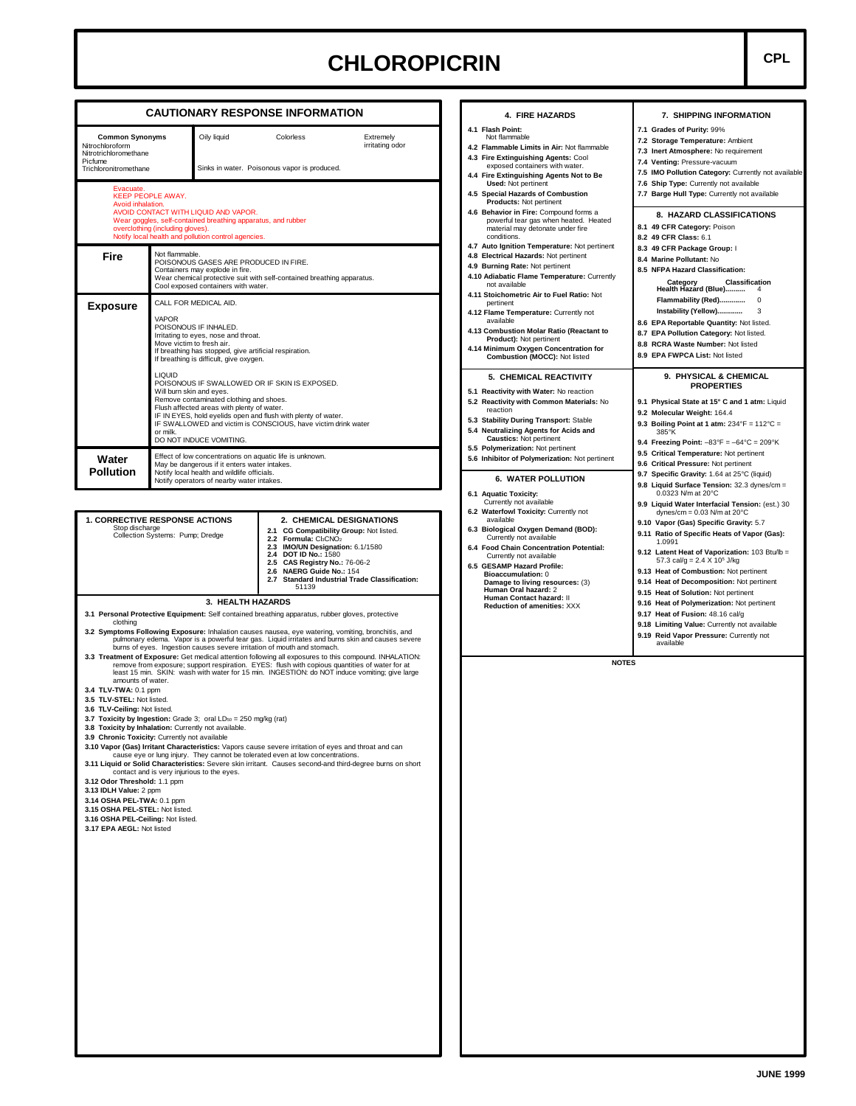## **CHLOROPICRIN CPL**

**7. SHIPPING INFORMATION**

**7.5 IMO Pollution Category:** Currently not available **7.6 Ship Type:** Currently not available **7.7 Barge Hull Type:** Currently not available **8. HAZARD CLASSIFICATIONS**

 **Category Classification Health Hazard (Blue)..........** 4 **Flammability (Red).............** 0 **Instability (Yellow).............** 3 **8.6 EPA Reportable Quantity:** Not listed. **8.7 EPA Pollution Category:** Not listed. **8.8 RCRA Waste Number:** Not listed **8.9 EPA FWPCA List:** Not listed

**9. PHYSICAL & CHEMICAL PROPERTIES 9.1 Physical State at 15° C and 1 atm:** Liquid

**9.3 Boiling Point at 1 atm:** 234°F = 112°C = 385°K **9.4 Freezing Point:** –83°F = –64°C = 209°K **9.5 Critical Temperature:** Not pertinent **9.6 Critical Pressure:** Not pertinent **9.7 Specific Gravity:** 1.64 at 25°C (liquid) **9.8 Liquid Surface Tension:** 32.3 dynes/cm = 0.0323 N/m at 20°C

**9.9 Liquid Water Interfacial Tension:** (est.) 30 dynes/cm = 0.03 N/m at 20°C **9.10 Vapor (Gas) Specific Gravity:** 5.7 **9.11 Ratio of Specific Heats of Vapor (Gas):**

**9.12 Latent Heat of Vaporization:** 103 Btu/lb = 57.3 cal/g =  $2.4 \times 10^5$  J/kg **9.13 Heat of Combustion:** Not pertinent **9.14 Heat of Decomposition:** Not pertinent **9.15 Heat of Solution:** Not pertinent

**7.1 Grades of Purity:** 99% **7.2 Storage Temperature:** Ambient **7.3 Inert Atmosphere:** No requirement **7.4 Venting:** Pressure-vacuum

**8.1 49 CFR Category:** Poison **8.2 49 CFR Class:** 6.1 **8.3 49 CFR Package Group:** I **8.4 Marine Pollutant:** No **8.5 NFPA Hazard Classification:**

**9.2 Molecular Weight:** 164.4

1.0991

| <b>Common Synonyms</b><br>Nitrochloroform<br>Nitrotrichloromethane<br>Picfume<br>Trichloronitromethane |                                                                                                                                                                                                                                                                                                                                                                                                                                                                                                                                                                                                   | Oily liquid<br>Sinks in water. Poisonous vapor is produced.                                                                                                 |  | Colorless                                                                                                                                                                                                                                                                                  | Extremely<br>irritating odor                                                                     |  |  |
|--------------------------------------------------------------------------------------------------------|---------------------------------------------------------------------------------------------------------------------------------------------------------------------------------------------------------------------------------------------------------------------------------------------------------------------------------------------------------------------------------------------------------------------------------------------------------------------------------------------------------------------------------------------------------------------------------------------------|-------------------------------------------------------------------------------------------------------------------------------------------------------------|--|--------------------------------------------------------------------------------------------------------------------------------------------------------------------------------------------------------------------------------------------------------------------------------------------|--------------------------------------------------------------------------------------------------|--|--|
| Evacuate.<br>Avoid inhalation.                                                                         | <b>KEEP PEOPLE AWAY.</b><br>overclothing (including gloves).                                                                                                                                                                                                                                                                                                                                                                                                                                                                                                                                      | AVOID CONTACT WITH LIQUID AND VAPOR.<br>Wear goggles, self-contained breathing apparatus, and rubber<br>Notify local health and pollution control agencies. |  |                                                                                                                                                                                                                                                                                            |                                                                                                  |  |  |
| Fire                                                                                                   | Not flammable.<br>POISONOUS GASES ARE PRODUCED IN FIRE.<br>Containers may explode in fire.<br>Wear chemical protective suit with self-contained breathing apparatus.<br>Cool exposed containers with water.                                                                                                                                                                                                                                                                                                                                                                                       |                                                                                                                                                             |  |                                                                                                                                                                                                                                                                                            |                                                                                                  |  |  |
| <b>Exposure</b>                                                                                        | CALL FOR MEDICAL AID.<br>VAPOR<br>POISONOUS IF INHALED.<br>Irritating to eyes, nose and throat.<br>Move victim to fresh air.<br>If breathing has stopped, give artificial respiration.<br>If breathing is difficult, give oxygen.<br><b>LIQUID</b><br>POISONOUS IF SWALLOWED OR IF SKIN IS EXPOSED.<br>Will burn skin and eves.<br>Remove contaminated clothing and shoes.<br>Flush affected areas with plenty of water.<br>IF IN EYES, hold eyelids open and flush with plenty of water.<br>IF SWALLOWED and victim is CONSCIOUS, have victim drink water<br>or milk.<br>DO NOT INDUCE VOMITING. |                                                                                                                                                             |  |                                                                                                                                                                                                                                                                                            |                                                                                                  |  |  |
| Water<br><b>Pollution</b>                                                                              | Effect of low concentrations on aquatic life is unknown.<br>May be dangerous if it enters water intakes.<br>Notify local health and wildlife officials.<br>Notify operators of nearby water intakes.                                                                                                                                                                                                                                                                                                                                                                                              |                                                                                                                                                             |  |                                                                                                                                                                                                                                                                                            |                                                                                                  |  |  |
| <b>1. CORRECTIVE RESPONSE ACTIONS</b><br>Stop discharge<br>Collection Systems: Pump; Dredge            |                                                                                                                                                                                                                                                                                                                                                                                                                                                                                                                                                                                                   |                                                                                                                                                             |  | 2. CHEMICAL DESIGNATIONS<br>2.1 CG Compatibility Group: Not listed.<br>2.2 Formula: Cl3CNO <sub>2</sub><br>2.3 IMO/UN Designation: 6.1/1580<br>2.4 DOT ID No.: 1580<br>2.5 CAS Registry No.: 76-06-2<br>2.6 NAERG Guide No.: 154<br>2.7 Standard Industrial Trade Classification:<br>51139 |                                                                                                  |  |  |
|                                                                                                        |                                                                                                                                                                                                                                                                                                                                                                                                                                                                                                                                                                                                   | 3. HEALTH HAZARDS                                                                                                                                           |  |                                                                                                                                                                                                                                                                                            | 3.1 Personal Protective Equipment: Self contained breathing apparatus, rubber gloves, protective |  |  |

### **3.3 Treatment of Exposure:** Get medical attention following all exposures to this compound. INHALATION: remove from exposure; support respiration. EYES: flush with copious quantities of water for at least 15 min. SKIN: wash with water for 15 min. INGESTION: do NOT induce vomiting; give large amounts of water.

**3.4 TLV-TWA:** 0.1 ppm

- **3.5 TLV-STEL:** Not listed.
- **3.6 TLV-Ceiling:** Not listed.
- **3.7 Toxicity by Ingestion:** Grade 3; oral LD<sub>50</sub> = 250 mg/kg (rat)
- **3.8 Toxicity by Inhalation:** Currently not available.
- **3.9 Chronic Toxicity:** Currently not available
- 
- 19.10 Vapor (Gas) Irritant Characteristics: Vapors cause severe irritation of eyes and throat and can<br>cause eye or lung injury. They cannot be tolerated even at low concentrations.<br>111 Liquid or Solid Characteristics: Seve contact and is very injurious to the eyes.
- **3.12 Odor Threshold:** 1.1 ppm
- **3.13 IDLH Value:** 2 ppm
- 
- **3.14 OSHA PEL-TWA:** 0.1 ppm
- **3.15 OSHA PEL-STEL:** Not listed.
- **3.16 OSHA PEL-Ceiling:** Not listed.
- **3.17 EPA AEGL:** Not listed

- **4.1 Flash Point:** Not flammable **4.2 Flammable Limits in Air:** Not flammable **4.3 Fire Extinguishing Agents:** Cool exposed containers with water.
- **4.4 Fire Extinguishing Agents Not to Be Used:** Not pertinent

**4. FIRE HAZARDS**

- **4.5 Special Hazards of Combustion Products:** Not pertinent
- **4.6 Behavior in Fire:** Compound forms a powerful tear gas when heated. Heated material may detonate under fire conditions.
- **4.7 Auto Ignition Temperature:** Not pertinent **4.8 Electrical Hazards:** Not pertinent
- **4.9 Burning Rate:** Not pertinent
- **4.10 Adiabatic Flame Temperature:** Currently not available
- **4.11 Stoichometric Air to Fuel Ratio:** Not
- pertinent **4.12 Flame Temperature:** Currently not available
- **4.13 Combustion Molar Ratio (Reactant to Product):** Not pertinent
- **4.14 Minimum Oxygen Concentration for Combustion (MOCC):** Not listed

### **5. CHEMICAL REACTIVITY**

- **5.1 Reactivity with Water:** No reaction **5.2 Reactivity with Common Materials:** No
- reaction **5.3 Stability During Transport:** Stable
- **5.4 Neutralizing Agents for Acids and Caustics:** Not pertinent
- **5.5 Polymerization:** Not pertinent **5.6 Inhibitor of Polymerization:** Not pertinent

#### **6. WATER POLLUTION**

- 
- **6.1 Aquatic Toxicity:** Currently not available
- **6.2 Waterfowl Toxicity:** Currently not available **6.3 Biological Oxygen Demand (BOD):**
- Currently not available **6.4 Food Chain Concentration Potential:**
- Currently not available **6.5 GESAMP Hazard Profile:**
- **Bioaccumulation:** 0 **Damage to living resources:** (3) **Human Oral hazard:** 2 **Human Contact hazard:** II
	- **Reduction of amenities:** XXX
- **9.16 Heat of Polymerization:** Not pertinent **9.17 Heat of Fusion:** 48.16 cal/g **9.18 Limiting Value:** Currently not available
- **9.19 Reid Vapor Pressure:** Currently not available

**NOTES**